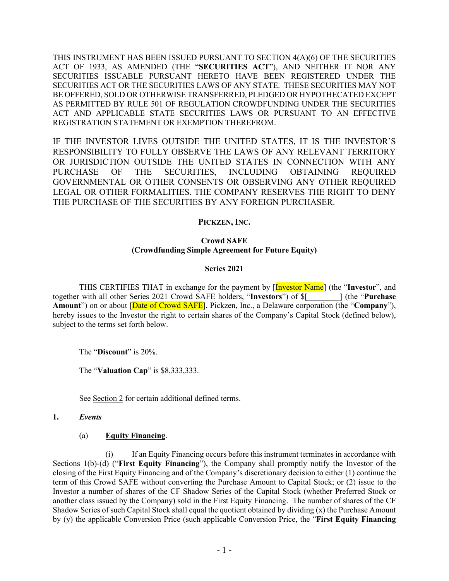THIS INSTRUMENT HAS BEEN ISSUED PURSUANT TO SECTION 4(A)(6) OF THE SECURITIES ACT OF 1933, AS AMENDED (THE "**SECURITIES ACT**"), AND NEITHER IT NOR ANY SECURITIES ISSUABLE PURSUANT HERETO HAVE BEEN REGISTERED UNDER THE SECURITIES ACT OR THE SECURITIES LAWS OF ANY STATE. THESE SECURITIES MAY NOT BE OFFERED, SOLD OR OTHERWISE TRANSFERRED, PLEDGED OR HYPOTHECATED EXCEPT AS PERMITTED BY RULE 501 OF REGULATION CROWDFUNDING UNDER THE SECURITIES ACT AND APPLICABLE STATE SECURITIES LAWS OR PURSUANT TO AN EFFECTIVE REGISTRATION STATEMENT OR EXEMPTION THEREFROM.

IF THE INVESTOR LIVES OUTSIDE THE UNITED STATES, IT IS THE INVESTOR'S RESPONSIBILITY TO FULLY OBSERVE THE LAWS OF ANY RELEVANT TERRITORY OR JURISDICTION OUTSIDE THE UNITED STATES IN CONNECTION WITH ANY PURCHASE OF THE SECURITIES, INCLUDING OBTAINING REQUIRED GOVERNMENTAL OR OTHER CONSENTS OR OBSERVING ANY OTHER REQUIRED LEGAL OR OTHER FORMALITIES. THE COMPANY RESERVES THE RIGHT TO DENY THE PURCHASE OF THE SECURITIES BY ANY FOREIGN PURCHASER.

# **PICKZEN, INC.**

#### **Crowd SAFE (Crowdfunding Simple Agreement for Future Equity)**

#### **Series 2021**

THIS CERTIFIES THAT in exchange for the payment by [Investor Name] (the "**Investor**", and together with all other Series 2021 Crowd SAFE holders, "**Investors**") of \$[*\_\_\_\_\_\_\_\_*] (the "**Purchase Amount**") on or about [Date of Crowd SAFE], Pickzen, Inc., a Delaware corporation (the "**Company**"), hereby issues to the Investor the right to certain shares of the Company's Capital Stock (defined below), subject to the terms set forth below.

The "**Discount**" is 20%.

The "**Valuation Cap**" is \$8,333,333.

See Section 2 for certain additional defined terms.

# **1.** *Events*

#### (a) **Equity Financing**.

(i) If an Equity Financing occurs before this instrument terminates in accordance with Sections 1(b)-(d) ("**First Equity Financing**"), the Company shall promptly notify the Investor of the closing of the First Equity Financing and of the Company's discretionary decision to either (1) continue the term of this Crowd SAFE without converting the Purchase Amount to Capital Stock; or (2) issue to the Investor a number of shares of the CF Shadow Series of the Capital Stock (whether Preferred Stock or another class issued by the Company) sold in the First Equity Financing. The number of shares of the CF Shadow Series of such Capital Stock shall equal the quotient obtained by dividing (x) the Purchase Amount by (y) the applicable Conversion Price (such applicable Conversion Price, the "**First Equity Financing**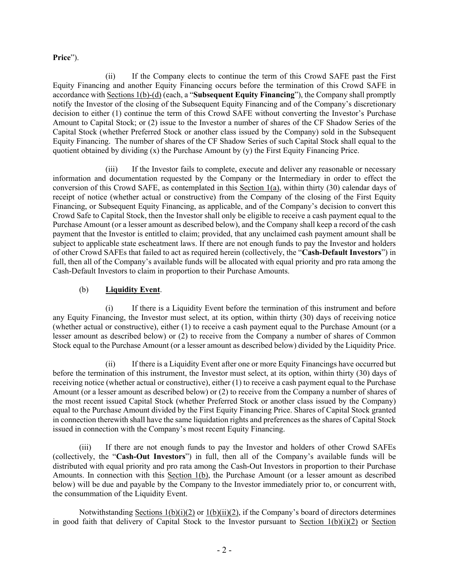### **Price**").

(ii) If the Company elects to continue the term of this Crowd SAFE past the First Equity Financing and another Equity Financing occurs before the termination of this Crowd SAFE in accordance with Sections 1(b)-(d) (each, a "**Subsequent Equity Financing**"), the Company shall promptly notify the Investor of the closing of the Subsequent Equity Financing and of the Company's discretionary decision to either (1) continue the term of this Crowd SAFE without converting the Investor's Purchase Amount to Capital Stock; or (2) issue to the Investor a number of shares of the CF Shadow Series of the Capital Stock (whether Preferred Stock or another class issued by the Company) sold in the Subsequent Equity Financing. The number of shares of the CF Shadow Series of such Capital Stock shall equal to the quotient obtained by dividing  $(x)$  the Purchase Amount by  $(y)$  the First Equity Financing Price.

(iii) If the Investor fails to complete, execute and deliver any reasonable or necessary information and documentation requested by the Company or the Intermediary in order to effect the conversion of this Crowd SAFE, as contemplated in this Section 1(a), within thirty (30) calendar days of receipt of notice (whether actual or constructive) from the Company of the closing of the First Equity Financing, or Subsequent Equity Financing, as applicable, and of the Company's decision to convert this Crowd Safe to Capital Stock, then the Investor shall only be eligible to receive a cash payment equal to the Purchase Amount (or a lesser amount as described below), and the Company shall keep a record of the cash payment that the Investor is entitled to claim; provided, that any unclaimed cash payment amount shall be subject to applicable state escheatment laws. If there are not enough funds to pay the Investor and holders of other Crowd SAFEs that failed to act as required herein (collectively, the "**Cash-Default Investors**") in full, then all of the Company's available funds will be allocated with equal priority and pro rata among the Cash-Default Investors to claim in proportion to their Purchase Amounts.

### (b) **Liquidity Event**.

(i) If there is a Liquidity Event before the termination of this instrument and before any Equity Financing, the Investor must select, at its option, within thirty (30) days of receiving notice (whether actual or constructive), either (1) to receive a cash payment equal to the Purchase Amount (or a lesser amount as described below) or (2) to receive from the Company a number of shares of Common Stock equal to the Purchase Amount (or a lesser amount as described below) divided by the Liquidity Price.

(ii) If there is a Liquidity Event after one or more Equity Financings have occurred but before the termination of this instrument, the Investor must select, at its option, within thirty (30) days of receiving notice (whether actual or constructive), either (1) to receive a cash payment equal to the Purchase Amount (or a lesser amount as described below) or (2) to receive from the Company a number of shares of the most recent issued Capital Stock (whether Preferred Stock or another class issued by the Company) equal to the Purchase Amount divided by the First Equity Financing Price. Shares of Capital Stock granted in connection therewith shall have the same liquidation rights and preferences as the shares of Capital Stock issued in connection with the Company's most recent Equity Financing.

(iii) If there are not enough funds to pay the Investor and holders of other Crowd SAFEs (collectively, the "**Cash-Out Investors**") in full, then all of the Company's available funds will be distributed with equal priority and pro rata among the Cash-Out Investors in proportion to their Purchase Amounts. In connection with this Section 1(b), the Purchase Amount (or a lesser amount as described below) will be due and payable by the Company to the Investor immediately prior to, or concurrent with, the consummation of the Liquidity Event.

Notwithstanding Sections  $1(b)(i)(2)$  or  $1(b)(ii)(2)$ , if the Company's board of directors determines in good faith that delivery of Capital Stock to the Investor pursuant to Section  $1(b)(i)(2)$  or Section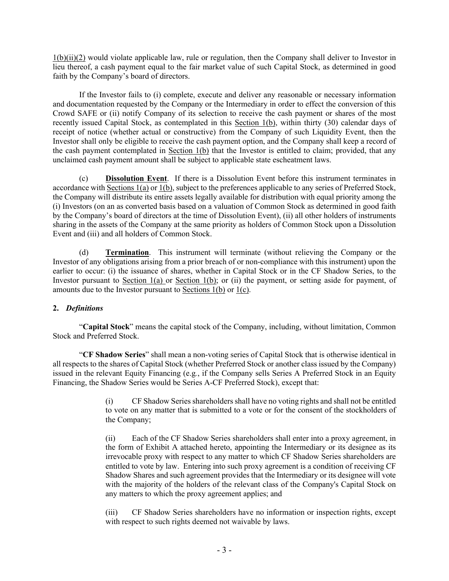$1(b)(ii)(2)$  would violate applicable law, rule or regulation, then the Company shall deliver to Investor in lieu thereof, a cash payment equal to the fair market value of such Capital Stock, as determined in good faith by the Company's board of directors.

If the Investor fails to (i) complete, execute and deliver any reasonable or necessary information and documentation requested by the Company or the Intermediary in order to effect the conversion of this Crowd SAFE or (ii) notify Company of its selection to receive the cash payment or shares of the most recently issued Capital Stock, as contemplated in this Section 1(b), within thirty (30) calendar days of receipt of notice (whether actual or constructive) from the Company of such Liquidity Event, then the Investor shall only be eligible to receive the cash payment option, and the Company shall keep a record of the cash payment contemplated in Section 1(b) that the Investor is entitled to claim; provided, that any unclaimed cash payment amount shall [be](https://www.lawinsider.com/clause/escheatment) subject to applicable state escheatment laws.

(c) **Dissolution Event**. If there is a Dissolution Event before this instrument terminates in accordance with Sections 1(a) or 1(b), subject to the preferences applicable to any series of Preferred Stock, the Company will distribute its entire assets legally available for distribution with equal priority among the (i) Investors (on an as converted basis based on a valuation of Common Stock as determined in good faith by the Company's board of directors at the time of Dissolution Event), (ii) all other holders of instruments sharing in the assets of the Company at the same priority as holders of Common Stock upon a Dissolution Event and (iii) and all holders of Common Stock.

(d) **Termination**. This instrument will terminate (without relieving the Company or the Investor of any obligations arising from a prior breach of or non-compliance with this instrument) upon the earlier to occur: (i) the issuance of shares, whether in Capital Stock or in the CF Shadow Series, to the Investor pursuant to Section 1(a) or Section 1(b); or (ii) the payment, or setting aside for payment, of amounts due to the Investor pursuant to Sections  $1(b)$  or  $1(c)$ .

# **2.** *Definitions*

"**Capital Stock**" means the capital stock of the Company, including, without limitation, Common Stock and Preferred Stock.

"**CF Shadow Series**" shall mean a non-voting series of Capital Stock that is otherwise identical in all respects to the shares of Capital Stock (whether Preferred Stock or another class issued by the Company) issued in the relevant Equity Financing (e.g*.*, if the Company sells Series A Preferred Stock in an Equity Financing, the Shadow Series would be Series A-CF Preferred Stock), except that:

> (i) CF Shadow Series shareholders shall have no voting rights and shall not be entitled to vote on any matter that is submitted to a vote or for the consent of the stockholders of the Company;

> (ii) Each of the CF Shadow Series shareholders shall enter into a proxy agreement, in the form of Exhibit A attached hereto, appointing the Intermediary or its designee as its irrevocable proxy with respect to any matter to which CF Shadow Series shareholders are entitled to vote by law. Entering into such proxy agreement is a condition of receiving CF Shadow Shares and such agreement provides that the Intermediary or its designee will vote with the majority of the holders of the relevant class of the Company's Capital Stock on any matters to which the proxy agreement applies; and

> (iii) CF Shadow Series shareholders have no information or inspection rights, except with respect to such rights deemed not waivable by laws.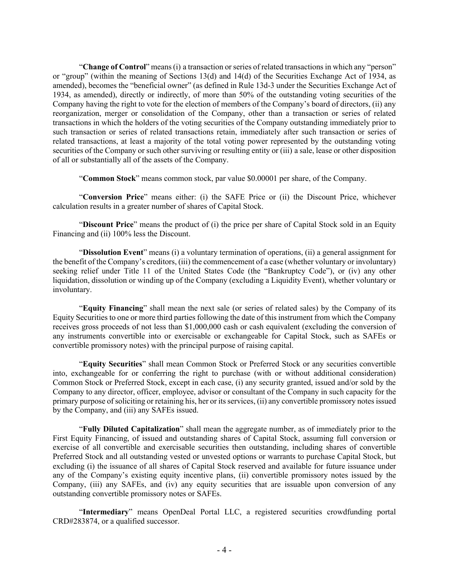"**Change of Control**" means (i) a transaction or series of related transactions in which any "person" or "group" (within the meaning of Sections 13(d) and 14(d) of the Securities Exchange Act of 1934, as amended), becomes the "beneficial owner" (as defined in Rule 13d-3 under the Securities Exchange Act of 1934, as amended), directly or indirectly, of more than 50% of the outstanding voting securities of the Company having the right to vote for the election of members of the Company's board of directors, (ii) any reorganization, merger or consolidation of the Company, other than a transaction or series of related transactions in which the holders of the voting securities of the Company outstanding immediately prior to such transaction or series of related transactions retain, immediately after such transaction or series of related transactions, at least a majority of the total voting power represented by the outstanding voting securities of the Company or such other surviving or resulting entity or (iii) a sale, lease or other disposition of all or substantially all of the assets of the Company.

"**Common Stock**" means common stock, par value \$0.00001 per share, of the Company.

"**Conversion Price**" means either: (i) the SAFE Price or (ii) the Discount Price, whichever calculation results in a greater number of shares of Capital Stock.

"**Discount Price**" means the product of (i) the price per share of Capital Stock sold in an Equity Financing and (ii) 100% less the Discount.

"**Dissolution Event**" means (i) a voluntary termination of operations, (ii) a general assignment for the benefit of the Company's creditors, (iii) the commencement of a case (whether voluntary or involuntary) seeking relief under Title 11 of the United States Code (the "Bankruptcy Code"), or (iv) any other liquidation, dissolution or winding up of the Company (excluding a Liquidity Event), whether voluntary or involuntary.

"**Equity Financing**" shall mean the next sale (or series of related sales) by the Company of its Equity Securities to one or more third parties following the date of this instrument from which the Company receives gross proceeds of not less than \$1,000,000 cash or cash equivalent (excluding the conversion of any instruments convertible into or exercisable or exchangeable for Capital Stock, such as SAFEs or convertible promissory notes) with the principal purpose of raising capital.

"**Equity Securities**" shall mean Common Stock or Preferred Stock or any securities convertible into, exchangeable for or conferring the right to purchase (with or without additional consideration) Common Stock or Preferred Stock, except in each case, (i) any security granted, issued and/or sold by the Company to any director, officer, employee, advisor or consultant of the Company in such capacity for the primary purpose of soliciting or retaining his, her or its services, (ii) any convertible promissory notes issued by the Company, and (iii) any SAFEs issued.

"**Fully Diluted Capitalization**" shall mean the aggregate number, as of immediately prior to the First Equity Financing, of issued and outstanding shares of Capital Stock, assuming full conversion or exercise of all convertible and exercisable securities then outstanding, including shares of convertible Preferred Stock and all outstanding vested or unvested options or warrants to purchase Capital Stock, but excluding (i) the issuance of all shares of Capital Stock reserved and available for future issuance under any of the Company's existing equity incentive plans, (ii) convertible promissory notes issued by the Company, (iii) any SAFEs, and (iv) any equity securities that are issuable upon conversion of any outstanding convertible promissory notes or SAFEs.

"**Intermediary**" means OpenDeal Portal LLC, a registered securities crowdfunding portal CRD#283874, or a qualified successor.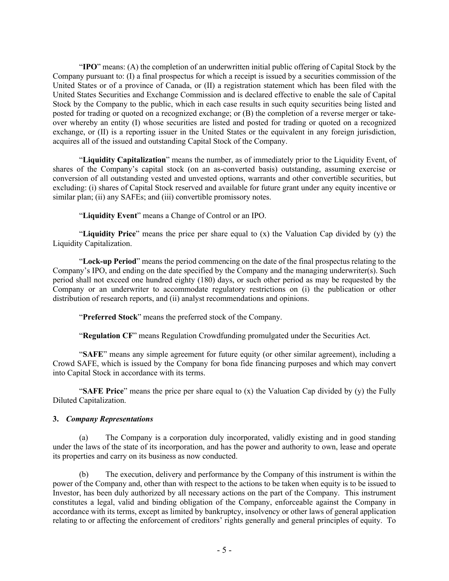"**IPO**" means: (A) the completion of an underwritten initial public offering of Capital Stock by the Company pursuant to: (I) a final prospectus for which a receipt is issued by a securities commission of the United States or of a province of Canada, or (II) a registration statement which has been filed with the United States Securities and Exchange Commission and is declared effective to enable the sale of Capital Stock by the Company to the public, which in each case results in such equity securities being listed and posted for trading or quoted on a recognized exchange; or (B) the completion of a reverse merger or takeover whereby an entity (I) whose securities are listed and posted for trading or quoted on a recognized exchange, or (II) is a reporting issuer in the United States or the equivalent in any foreign jurisdiction, acquires all of the issued and outstanding Capital Stock of the Company.

"**Liquidity Capitalization**" means the number, as of immediately prior to the Liquidity Event, of shares of the Company's capital stock (on an as-converted basis) outstanding, assuming exercise or conversion of all outstanding vested and unvested options, warrants and other convertible securities, but excluding: (i) shares of Capital Stock reserved and available for future grant under any equity incentive or similar plan; (ii) any SAFEs; and (iii) convertible promissory notes.

"**Liquidity Event**" means a Change of Control or an IPO.

"**Liquidity Price**" means the price per share equal to (x) the Valuation Cap divided by (y) the Liquidity Capitalization.

"**Lock-up Period**" means the period commencing on the date of the final prospectus relating to the Company's IPO, and ending on the date specified by the Company and the managing underwriter(s). Such period shall not exceed one hundred eighty (180) days, or such other period as may be requested by the Company or an underwriter to accommodate regulatory restrictions on (i) the publication or other distribution of research reports, and (ii) analyst recommendations and opinions.

"**Preferred Stock**" means the preferred stock of the Company.

"**Regulation CF**" means Regulation Crowdfunding promulgated under the Securities Act.

"**SAFE**" means any simple agreement for future equity (or other similar agreement), including a Crowd SAFE, which is issued by the Company for bona fide financing purposes and which may convert into Capital Stock in accordance with its terms.

"**SAFE Price**" means the price per share equal to (x) the Valuation Cap divided by (y) the Fully Diluted Capitalization.

#### **3.** *Company Representations*

(a) The Company is a corporation duly incorporated, validly existing and in good standing under the laws of the state of its incorporation, and has the power and authority to own, lease and operate its properties and carry on its business as now conducted.

(b) The execution, delivery and performance by the Company of this instrument is within the power of the Company and, other than with respect to the actions to be taken when equity is to be issued to Investor, has been duly authorized by all necessary actions on the part of the Company. This instrument constitutes a legal, valid and binding obligation of the Company, enforceable against the Company in accordance with its terms, except as limited by bankruptcy, insolvency or other laws of general application relating to or affecting the enforcement of creditors' rights generally and general principles of equity. To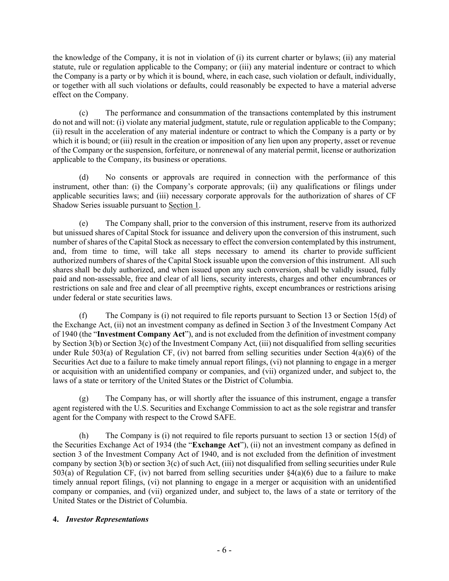the knowledge of the Company, it is not in violation of (i) its current charter or bylaws; (ii) any material statute, rule or regulation applicable to the Company; or (iii) any material indenture or contract to which the Company is a party or by which it is bound, where, in each case, such violation or default, individually, or together with all such violations or defaults, could reasonably be expected to have a material adverse effect on the Company.

(c) The performance and consummation of the transactions contemplated by this instrument do not and will not: (i) violate any material judgment, statute, rule or regulation applicable to the Company; (ii) result in the acceleration of any material indenture or contract to which the Company is a party or by which it is bound; or (iii) result in the creation or imposition of any lien upon any property, asset or revenue of the Company or the suspension, forfeiture, or nonrenewal of any material permit, license or authorization applicable to the Company, its business or operations.

(d) No consents or approvals are required in connection with the performance of this instrument, other than: (i) the Company's corporate approvals; (ii) any qualifications or filings under applicable securities laws; and (iii) necessary corporate approvals for the authorization of shares of CF Shadow Series issuable pursuant to Section 1.

(e) The Company shall, prior to the conversion of this instrument, reserve from its authorized but unissued shares of Capital Stock for issuance and delivery upon the conversion of this instrument, such number of shares of the Capital Stock as necessary to effect the conversion contemplated by this instrument, and, from time to time, will take all steps necessary to amend its charter to provide sufficient authorized numbers of shares of the Capital Stock issuable upon the conversion of this instrument. All such shares shall be duly authorized, and when issued upon any such conversion, shall be validly issued, fully paid and non-assessable, free and clear of all liens, security interests, charges and other encumbrances or restrictions on sale and free and clear of all preemptive rights, except encumbrances or restrictions arising under federal or state securities laws.

(f) The Company is (i) not required to file reports pursuant to Section 13 or Section 15(d) of the Exchange Act, (ii) not an investment company as defined in Section 3 of the Investment Company Act of 1940 (the "**Investment Company Act**"), and is not excluded from the definition of investment company by Section 3(b) or Section 3(c) of the Investment Company Act, (iii) not disqualified from selling securities under Rule 503(a) of Regulation CF, (iv) not barred from selling securities under Section  $4(a)(6)$  of the Securities Act due to a failure to make timely annual report filings, (vi) not planning to engage in a merger or acquisition with an unidentified company or companies, and (vii) organized under, and subject to, the laws of a state or territory of the United States or the District of Columbia.

(g) The Company has, or will shortly after the issuance of this instrument, engage a transfer agent registered with the U.S. Securities and Exchange Commission to act as the sole registrar and transfer agent for the Company with respect to the Crowd SAFE.

(h) The Company is (i) not required to file reports pursuant to section 13 or section 15(d) of the Securities Exchange Act of 1934 (the "**Exchange Act**"), (ii) not an investment company as defined in section 3 of the Investment Company Act of 1940, and is not excluded from the definition of investment company by section  $3(b)$  or section  $3(c)$  of such Act, (iii) not disqualified from selling securities under Rule  $503(a)$  of Regulation CF, (iv) not barred from selling securities under  $\frac{84(a)}{6}$  due to a failure to make timely annual report filings, (vi) not planning to engage in a merger or acquisition with an unidentified company or companies, and (vii) organized under, and subject to, the laws of a state or territory of the United States or the District of Columbia.

# **4.** *Investor Representations*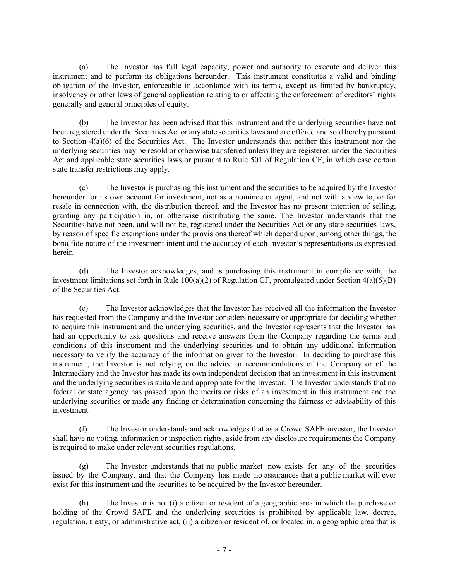(a) The Investor has full legal capacity, power and authority to execute and deliver this instrument and to perform its obligations hereunder. This instrument constitutes a valid and binding obligation of the Investor, enforceable in accordance with its terms, except as limited by bankruptcy, insolvency or other laws of general application relating to or affecting the enforcement of creditors' rights generally and general principles of equity.

(b) The Investor has been advised that this instrument and the underlying securities have not been registered under the Securities Act or any state securities laws and are offered and sold hereby pursuant to Section 4(a)(6) of the Securities Act. The Investor understands that neither this instrument nor the underlying securities may be resold or otherwise transferred unless they are registered under the Securities Act and applicable state securities laws or pursuant to Rule 501 of Regulation CF, in which case certain state transfer restrictions may apply.

(c) The Investor is purchasing this instrument and the securities to be acquired by the Investor hereunder for its own account for investment, not as a nominee or agent, and not with a view to, or for resale in connection with, the distribution thereof, and the Investor has no present intention of selling, granting any participation in, or otherwise distributing the same. The Investor understands that the Securities have not been, and will not be, registered under the Securities Act or any state securities laws, by reason of specific exemptions under the provisions thereof which depend upon, among other things, the bona fide nature of the investment intent and the accuracy of each Investor's representations as expressed herein.

(d) The Investor acknowledges, and is purchasing this instrument in compliance with, the investment limitations set forth in Rule  $100(a)(2)$  of Regulation CF, promulgated under Section  $4(a)(6)(B)$ of the Securities Act.

(e) The Investor acknowledges that the Investor has received all the information the Investor has requested from the Company and the Investor considers necessary or appropriate for deciding whether to acquire this instrument and the underlying securities, and the Investor represents that the Investor has had an opportunity to ask questions and receive answers from the Company regarding the terms and conditions of this instrument and the underlying securities and to obtain any additional information necessary to verify the accuracy of the information given to the Investor. In deciding to purchase this instrument, the Investor is not relying on the advice or recommendations of the Company or of the Intermediary and the Investor has made its own independent decision that an investment in this instrument and the underlying securities is suitable and appropriate for the Investor. The Investor understands that no federal or state agency has passed upon the merits or risks of an investment in this instrument and the underlying securities or made any finding or determination concerning the fairness or advisability of this investment.

(f) The Investor understands and acknowledges that as a Crowd SAFE investor, the Investor shall have no voting, information or inspection rights, aside from any disclosure requirements the Company is required to make under relevant securities regulations.

(g) The Investor understands that no public market now exists for any of the securities issued by the Company, and that the Company has made no assurances that a public market will ever exist for this instrument and the securities to be acquired by the Investor hereunder.

(h) The Investor is not (i) a citizen or resident of a geographic area in which the purchase or holding of the Crowd SAFE and the underlying securities is prohibited by applicable law, decree, regulation, treaty, or administrative act, (ii) a citizen or resident of, or located in, a geographic area that is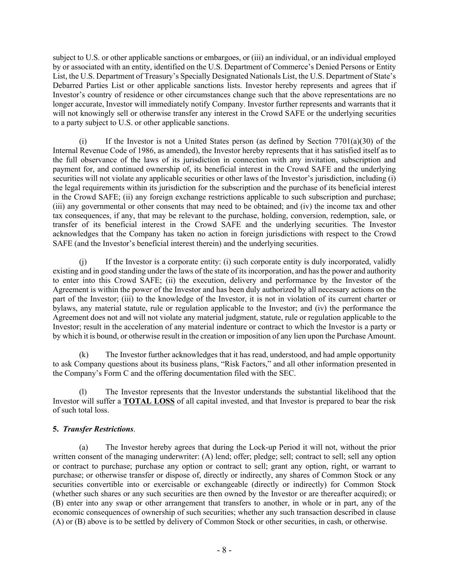subject to U.S. or other applicable sanctions or embargoes, or (iii) an individual, or an individual employed by or associated with an entity, identified on the U.S. Department of Commerce's Denied Persons or Entity List, the U.S. Department of Treasury's Specially Designated Nationals List, the U.S. Department of State's Debarred Parties List or other applicable sanctions lists. Investor hereby represents and agrees that if Investor's country of residence or other circumstances change such that the above representations are no longer accurate, Investor will immediately notify Company. Investor further represents and warrants that it will not knowingly sell or otherwise transfer any interest in the Crowd SAFE or the underlying securities to a party subject to U.S. or other applicable sanctions.

(i) If the Investor is not a United States person (as defined by Section 7701(a)(30) of the Internal Revenue Code of 1986, as amended), the Investor hereby represents that it has satisfied itself as to the full observance of the laws of its jurisdiction in connection with any invitation, subscription and payment for, and continued ownership of, its beneficial interest in the Crowd SAFE and the underlying securities will not violate any applicable securities or other laws of the Investor's jurisdiction, including (i) the legal requirements within its jurisdiction for the subscription and the purchase of its beneficial interest in the Crowd SAFE; (ii) any foreign exchange restrictions applicable to such subscription and purchase; (iii) any governmental or other consents that may need to be obtained; and (iv) the income tax and other tax consequences, if any, that may be relevant to the purchase, holding, conversion, redemption, sale, or transfer of its beneficial interest in the Crowd SAFE and the underlying securities. The Investor acknowledges that the Company has taken no action in foreign jurisdictions with respect to the Crowd SAFE (and the Investor's beneficial interest therein) and the underlying securities.

(j) If the Investor is a corporate entity: (i) such corporate entity is duly incorporated, validly existing and in good standing under the laws of the state of its incorporation, and has the power and authority to enter into this Crowd SAFE; (ii) the execution, delivery and performance by the Investor of the Agreement is within the power of the Investor and has been duly authorized by all necessary actions on the part of the Investor; (iii) to the knowledge of the Investor, it is not in violation of its current charter or bylaws, any material statute, rule or regulation applicable to the Investor; and (iv) the performance the Agreement does not and will not violate any material judgment, statute, rule or regulation applicable to the Investor; result in the acceleration of any material indenture or contract to which the Investor is a party or by which it is bound, or otherwise result in the creation or imposition of any lien upon the Purchase Amount.

(k) The Investor further acknowledges that it has read, understood, and had ample opportunity to ask Company questions about its business plans, "Risk Factors," and all other information presented in the Company's Form C and the offering documentation filed with the SEC.

(l) The Investor represents that the Investor understands the substantial likelihood that the Investor will suffer a **TOTAL LOSS** of all capital invested, and that Investor is prepared to bear the risk of such total loss.

# **5.** *Transfer Restrictions*.

(a) The Investor hereby agrees that during the Lock-up Period it will not, without the prior written consent of the managing underwriter: (A) lend; offer; pledge; sell; contract to sell; sell any option or contract to purchase; purchase any option or contract to sell; grant any option, right, or warrant to purchase; or otherwise transfer or dispose of, directly or indirectly, any shares of Common Stock or any securities convertible into or exercisable or exchangeable (directly or indirectly) for Common Stock (whether such shares or any such securities are then owned by the Investor or are thereafter acquired); or (B) enter into any swap or other arrangement that transfers to another, in whole or in part, any of the economic consequences of ownership of such securities; whether any such transaction described in clause (A) or (B) above is to be settled by delivery of Common Stock or other securities, in cash, or otherwise.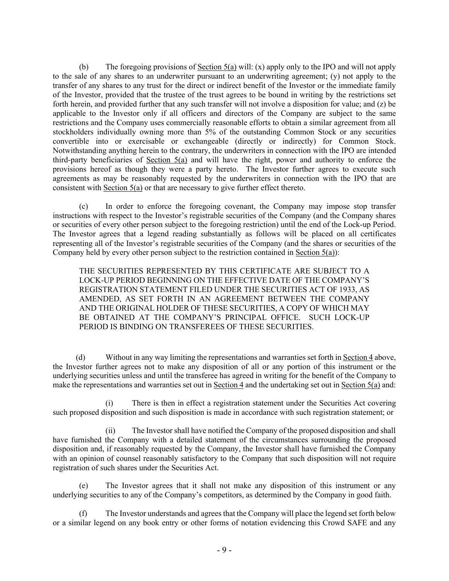(b) The foregoing provisions of Section 5(a) will: (x) apply only to the IPO and will not apply to the sale of any shares to an underwriter pursuant to an underwriting agreement; (y) not apply to the transfer of any shares to any trust for the direct or indirect benefit of the Investor or the immediate family of the Investor, provided that the trustee of the trust agrees to be bound in writing by the restrictions set forth herein, and provided further that any such transfer will not involve a disposition for value; and (z) be applicable to the Investor only if all officers and directors of the Company are subject to the same restrictions and the Company uses commercially reasonable efforts to obtain a similar agreement from all stockholders individually owning more than 5% of the outstanding Common Stock or any securities convertible into or exercisable or exchangeable (directly or indirectly) for Common Stock. Notwithstanding anything herein to the contrary, the underwriters in connection with the IPO are intended third-party beneficiaries of Section 5(a) and will have the right, power and authority to enforce the provisions hereof as though they were a party hereto. The Investor further agrees to execute such agreements as may be reasonably requested by the underwriters in connection with the IPO that are consistent with Section 5(a) or that are necessary to give further effect thereto.

(c) In order to enforce the foregoing covenant, the Company may impose stop transfer instructions with respect to the Investor's registrable securities of the Company (and the Company shares or securities of every other person subject to the foregoing restriction) until the end of the Lock-up Period. The Investor agrees that a legend reading substantially as follows will be placed on all certificates representing all of the Investor's registrable securities of the Company (and the shares or securities of the Company held by every other person subject to the restriction contained in Section 5(a)):

THE SECURITIES REPRESENTED BY THIS CERTIFICATE ARE SUBJECT TO A LOCK-UP PERIOD BEGINNING ON THE EFFECTIVE DATE OF THE COMPANY'S REGISTRATION STATEMENT FILED UNDER THE SECURITIES ACT OF 1933, AS AMENDED, AS SET FORTH IN AN AGREEMENT BETWEEN THE COMPANY AND THE ORIGINAL HOLDER OF THESE SECURITIES, A COPY OF WHICH MAY BE OBTAINED AT THE COMPANY'S PRINCIPAL OFFICE. SUCH LOCK-UP PERIOD IS BINDING ON TRANSFEREES OF THESE SECURITIES.

(d) Without in any way limiting the representations and warranties set forth in Section 4 above, the Investor further agrees not to make any disposition of all or any portion of this instrument or the underlying securities unless and until the transferee has agreed in writing for the benefit of the Company to make the representations and warranties set out in Section 4 and the undertaking set out in Section 5(a) and:

(i) There is then in effect a registration statement under the Securities Act covering such proposed disposition and such disposition is made in accordance with such registration statement; or

(ii) The Investor shall have notified the Company of the proposed disposition and shall have furnished the Company with a detailed statement of the circumstances surrounding the proposed disposition and, if reasonably requested by the Company, the Investor shall have furnished the Company with an opinion of counsel reasonably satisfactory to the Company that such disposition will not require registration of such shares under the Securities Act.

(e) The Investor agrees that it shall not make any disposition of this instrument or any underlying securities to any of the Company's competitors, as determined by the Company in good faith.

(f) The Investor understands and agrees that the Company will place the legend set forth below or a similar legend on any book entry or other forms of notation evidencing this Crowd SAFE and any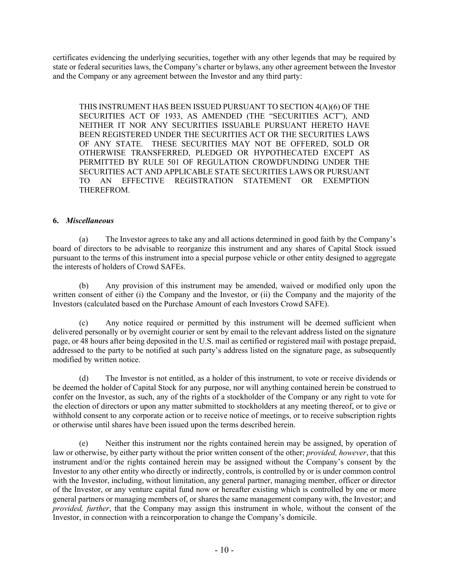certificates evidencing the underlying securities, together with any other legends that may be required by state or federal securities laws, the Company's charter or bylaws, any other agreement between the Investor and the Company or any agreement between the Investor and any third party:

THIS INSTRUMENT HAS BEEN ISSUED PURSUANT TO SECTION 4(A)(6) OF THE SECURITIES ACT OF 1933, AS AMENDED (THE "SECURITIES ACT"), AND NEITHER IT NOR ANY SECURITIES ISSUABLE PURSUANT HERETO HAVE BEEN REGISTERED UNDER THE SECURITIES ACT OR THE SECURITIES LAWS OF ANY STATE. THESE SECURITIES MAY NOT BE OFFERED, SOLD OR OTHERWISE TRANSFERRED, PLEDGED OR HYPOTHECATED EXCEPT AS PERMITTED BY RULE 501 OF REGULATION CROWDFUNDING UNDER THE SECURITIES ACT AND APPLICABLE STATE SECURITIES LAWS OR PURSUANT TO AN EFFECTIVE REGISTRATION STATEMENT OR EXEMPTION THEREFROM.

# **6.** *Miscellaneous*

(a) The Investor agrees to take any and all actions determined in good faith by the Company's board of directors to be advisable to reorganize this instrument and any shares of Capital Stock issued pursuant to the terms of this instrument into a special purpose vehicle or other entity designed to aggregate the interests of holders of Crowd SAFEs.

(b) Any provision of this instrument may be amended, waived or modified only upon the written consent of either (i) the Company and the Investor, or (ii) the Company and the majority of the Investors (calculated based on the Purchase Amount of each Investors Crowd SAFE).

(c) Any notice required or permitted by this instrument will be deemed sufficient when delivered personally or by overnight courier or sent by email to the relevant address listed on the signature page, or 48 hours after being deposited in the U.S. mail as certified or registered mail with postage prepaid, addressed to the party to be notified at such party's address listed on the signature page, as subsequently modified by written notice.

(d) The Investor is not entitled, as a holder of this instrument, to vote or receive dividends or be deemed the holder of Capital Stock for any purpose, nor will anything contained herein be construed to confer on the Investor, as such, any of the rights of a stockholder of the Company or any right to vote for the election of directors or upon any matter submitted to stockholders at any meeting thereof, or to give or withhold consent to any corporate action or to receive notice of meetings, or to receive subscription rights or otherwise until shares have been issued upon the terms described herein.

(e) Neither this instrument nor the rights contained herein may be assigned, by operation of law or otherwise, by either party without the prior written consent of the other; *provided, however*, that this instrument and/or the rights contained herein may be assigned without the Company's consent by the Investor to any other entity who directly or indirectly, controls, is controlled by or is under common control with the Investor, including, without limitation, any general partner, managing member, officer or director of the Investor, or any venture capital fund now or hereafter existing which is controlled by one or more general partners or managing members of, or shares the same management company with, the Investor; and *provided, further*, that the Company may assign this instrument in whole, without the consent of the Investor, in connection with a reincorporation to change the Company's domicile.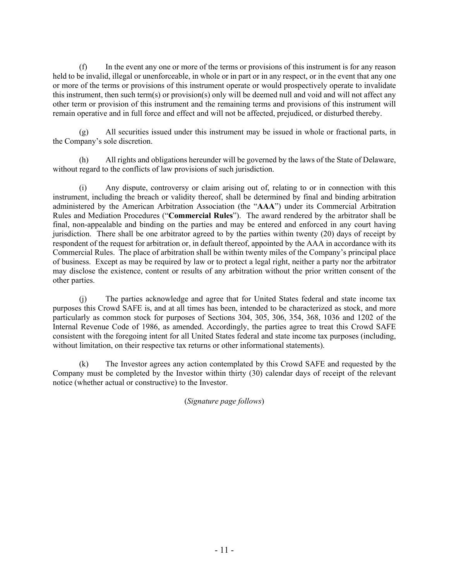(f) In the event any one or more of the terms or provisions of this instrument is for any reason held to be invalid, illegal or unenforceable, in whole or in part or in any respect, or in the event that any one or more of the terms or provisions of this instrument operate or would prospectively operate to invalidate this instrument, then such term(s) or provision(s) only will be deemed null and void and will not affect any other term or provision of this instrument and the remaining terms and provisions of this instrument will remain operative and in full force and effect and will not be affected, prejudiced, or disturbed thereby.

(g) All securities issued under this instrument may be issued in whole or fractional parts, in the Company's sole discretion.

(h) All rights and obligations hereunder will be governed by the laws of the State of Delaware, without regard to the conflicts of law provisions of such jurisdiction.

(i) Any dispute, controversy or claim arising out of, relating to or in connection with this instrument, including the breach or validity thereof, shall be determined by final and binding arbitration administered by the American Arbitration Association (the "**AAA**") under its Commercial Arbitration Rules and Mediation Procedures ("**Commercial Rules**"). The award rendered by the arbitrator shall be final, non-appealable and binding on the parties and may be entered and enforced in any court having jurisdiction. There shall be one arbitrator agreed to by the parties within twenty (20) days of receipt by respondent of the request for arbitration or, in default thereof, appointed by the AAA in accordance with its Commercial Rules. The place of arbitration shall be within twenty miles of the Company's principal place of business. Except as may be required by law or to protect a legal right, neither a party nor the arbitrator may disclose the existence, content or results of any arbitration without the prior written consent of the other parties.

(j) The parties acknowledge and agree that for United States federal and state income tax purposes this Crowd SAFE is, and at all times has been, intended to be characterized as stock, and more particularly as common stock for purposes of Sections 304, 305, 306, 354, 368, 1036 and 1202 of the Internal Revenue Code of 1986, as amended. Accordingly, the parties agree to treat this Crowd SAFE consistent with the foregoing intent for all United States federal and state income tax purposes (including, without limitation, on their respective tax returns or other informational statements).

(k) The Investor agrees any action contemplated by this Crowd SAFE and requested by the Company must be completed by the Investor within thirty (30) calendar days of receipt of the relevant notice (whether actual or constructive) to the Investor.

(*Signature page follows*)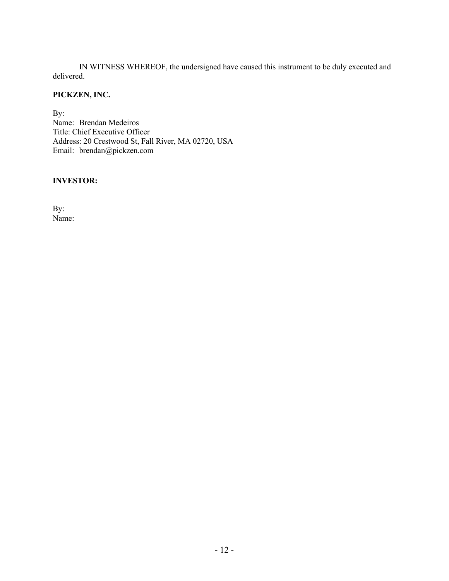IN WITNESS WHEREOF, the undersigned have caused this instrument to be duly executed and delivered.

# **PICKZEN, INC.**

By: Name: Brendan Medeiros Title: Chief Executive Officer Address: 20 Crestwood St, Fall River, MA 02720, USA Email: brendan@pickzen.com

### **INVESTOR:**

By: Name: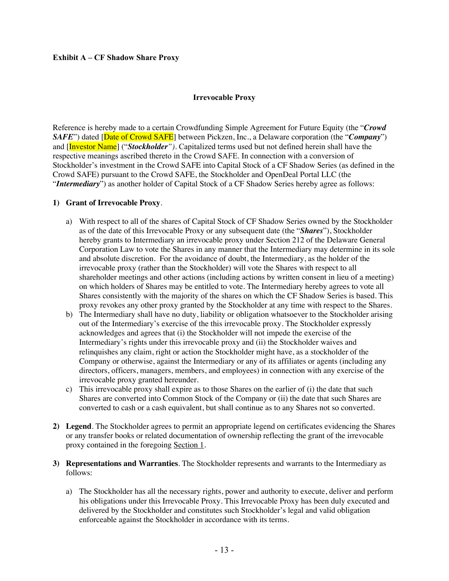#### **Exhibit A – CF Shadow Share Proxy**

#### **Irrevocable Proxy**

Reference is hereby made to a certain Crowdfunding Simple Agreement for Future Equity (the "*Crowd SAFE*") dated [Date of Crowd SAFE] between Pickzen, Inc., a Delaware corporation (the "*Company*") and [Investor Name] ("*Stockholder").* Capitalized terms used but not defined herein shall have the respective meanings ascribed thereto in the Crowd SAFE. In connection with a conversion of Stockholder's investment in the Crowd SAFE into Capital Stock of a CF Shadow Series (as defined in the Crowd SAFE) pursuant to the Crowd SAFE, the Stockholder and OpenDeal Portal LLC (the "*Intermediary*") as another holder of Capital Stock of a CF Shadow Series hereby agree as follows:

#### **1) Grant of Irrevocable Proxy**.

- a) With respect to all of the shares of Capital Stock of CF Shadow Series owned by the Stockholder as of the date of this Irrevocable Proxy or any subsequent date (the "*Shares*"), Stockholder hereby grants to Intermediary an irrevocable proxy under Section 212 of the Delaware General Corporation Law to vote the Shares in any manner that the Intermediary may determine in its sole and absolute discretion. For the avoidance of doubt, the Intermediary, as the holder of the irrevocable proxy (rather than the Stockholder) will vote the Shares with respect to all shareholder meetings and other actions (including actions by written consent in lieu of a meeting) on which holders of Shares may be entitled to vote. The Intermediary hereby agrees to vote all Shares consistently with the majority of the shares on which the CF Shadow Series is based. This proxy revokes any other proxy granted by the Stockholder at any time with respect to the Shares.
- b) The Intermediary shall have no duty, liability or obligation whatsoever to the Stockholder arising out of the Intermediary's exercise of the this irrevocable proxy. The Stockholder expressly acknowledges and agrees that (i) the Stockholder will not impede the exercise of the Intermediary's rights under this irrevocable proxy and (ii) the Stockholder waives and relinquishes any claim, right or action the Stockholder might have, as a stockholder of the Company or otherwise, against the Intermediary or any of its affiliates or agents (including any directors, officers, managers, members, and employees) in connection with any exercise of the irrevocable proxy granted hereunder.
- c) This irrevocable proxy shall expire as to those Shares on the earlier of (i) the date that such Shares are converted into Common Stock of the Company or (ii) the date that such Shares are converted to cash or a cash equivalent, but shall continue as to any Shares not so converted.
- **2) Legend**. The Stockholder agrees to permit an appropriate legend on certificates evidencing the Shares or any transfer books or related documentation of ownership reflecting the grant of the irrevocable proxy contained in the foregoing Section 1.
- **3) Representations and Warranties**. The Stockholder represents and warrants to the Intermediary as follows:
	- a) The Stockholder has all the necessary rights, power and authority to execute, deliver and perform his obligations under this Irrevocable Proxy. This Irrevocable Proxy has been duly executed and delivered by the Stockholder and constitutes such Stockholder's legal and valid obligation enforceable against the Stockholder in accordance with its terms.